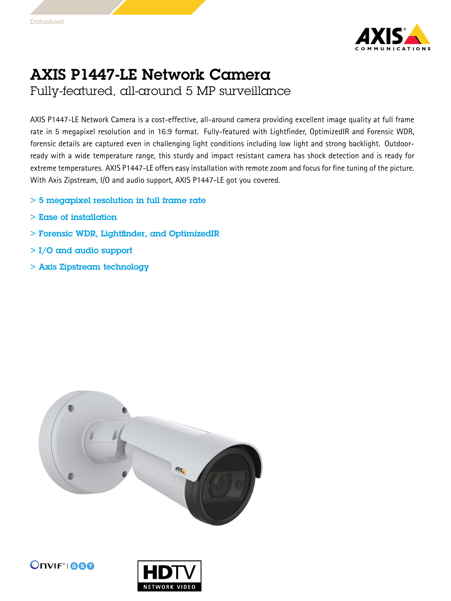

## AXIS P1447-LE Network Camera

Fully-featured, all-around 5 MP surveillance

AXIS P1447-LE Network Camera is <sup>a</sup> cost-effective, all-around camera providing excellent image quality at full frame rate in 5 megapixel resolution and in 16:9 format. Fully-featured with Lightfinder, OptimizedIR and Forensic WDR, forensic details are captured even in challenging light conditions including low light and strong backlight. Outdoorready with <sup>a</sup> wide temperature range, this sturdy and impact resistant camera has shock detection and is ready for extreme temperatures. AXIS P1447-LE offers easy installation with remote zoom and focus for fine tuning of the picture. With Axis Zipstream, I/O and audio support, AXIS P1447-LE got you covered.

- $>$  5 megapixel resolution in full frame rate
- > Ease of installation
- > Forensic WDR, Lightfinder, and OptimizedIR
- > I/O and audio support
- > Axis Zipstream technology





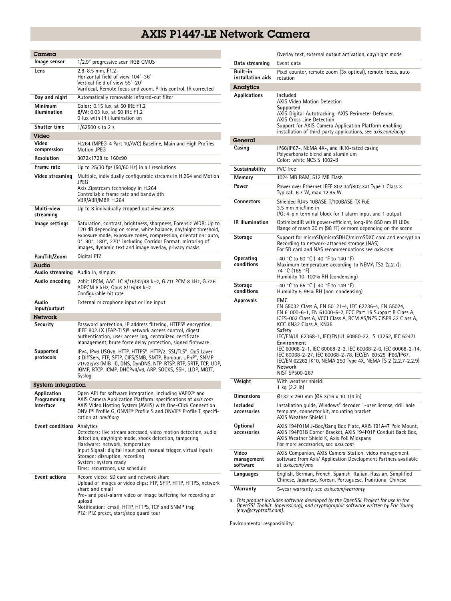## AXIS P1447-LE Network Camera

| Camera                                  |                                                                                                                                                                                                                                                                                                                                        |  |
|-----------------------------------------|----------------------------------------------------------------------------------------------------------------------------------------------------------------------------------------------------------------------------------------------------------------------------------------------------------------------------------------|--|
| lmage sensor                            | 1/2.9" progressive scan RGB CMOS                                                                                                                                                                                                                                                                                                       |  |
| Lens                                    | 2.8-8.5 mm, F1.2<br>Horizontal field of view 104°-36°<br>Vertical field of view 55°-20°<br>Varifocal, Remote focus and zoom, P-Iris control, IR corrected                                                                                                                                                                              |  |
| Day and night                           | Automatically removable infrared-cut filter                                                                                                                                                                                                                                                                                            |  |
| Minimum<br>illumination                 | Color: 0.15 lux, at 50 IRE F1.2<br>B/W: 0.03 lux, at 50 IRE F1.2<br>0 lux with IR illumination on                                                                                                                                                                                                                                      |  |
| <b>Shutter time</b>                     | 1/62500 s to 2 s                                                                                                                                                                                                                                                                                                                       |  |
| Video                                   |                                                                                                                                                                                                                                                                                                                                        |  |
| Video<br>compression                    | H.264 (MPEG-4 Part 10/AVC) Baseline, Main and High Profiles<br><b>Motion JPEG</b>                                                                                                                                                                                                                                                      |  |
| Resolution                              | 3072x1728 to 160x90                                                                                                                                                                                                                                                                                                                    |  |
| Frame rate                              | Up to $25/30$ fps (50/60 Hz) in all resolutions                                                                                                                                                                                                                                                                                        |  |
| Video streaming                         | Multiple, individually configurable streams in H.264 and Motion<br>JPEG<br>Axis Zipstream technology in H.264<br>Controllable frame rate and bandwidth<br>VBR/ABR/MBR H.264                                                                                                                                                            |  |
| Multi-view<br>streaming                 | Up to 8 individually cropped out view areas                                                                                                                                                                                                                                                                                            |  |
| lmage settings                          | Saturation, contrast, brightness, sharpness, Forensic WDR: Up to<br>120 dB depending on scene, white balance, day/night threshold,<br>exposure mode, exposure zones, compression, orientation: auto,<br>0°, 90°, 180°, 270° including Corridor Format, mirroring of<br>images, dynamic text and image overlay, privacy masks           |  |
| Pan/Tilt/Zoom                           | Digital PTZ                                                                                                                                                                                                                                                                                                                            |  |
| Audio                                   |                                                                                                                                                                                                                                                                                                                                        |  |
| Audio streaming                         | Audio in, simplex                                                                                                                                                                                                                                                                                                                      |  |
| Audio encoding                          | 24bit LPCM, AAC-LC 8/16/32/48 kHz, G.711 PCM 8 kHz, G.726<br>ADPCM 8 kHz, Opus 8/16/48 kHz<br>Configurable bit rate                                                                                                                                                                                                                    |  |
| Audio<br>input/output                   | External microphone input or line input                                                                                                                                                                                                                                                                                                |  |
| <b>Network</b>                          |                                                                                                                                                                                                                                                                                                                                        |  |
| Security                                | Password protection, IP address filtering, HTTPS <sup>a</sup> encryption,<br>IEEE 802.1X (EAP-TLS) <sup>a</sup> network access control, digest<br>authentication, user access log, centralized certificate<br>management, brute force delay protection, signed firmware                                                                |  |
| Supported<br>protocols                  | IPv4, IPv6 USGv6, HTTP, HTTPS <sup>a</sup> , HTTP/2, SSL/TLS <sup>a</sup> , QoS Layer<br>3 DiffServ, FTP, SFTP, CIFS/SMB, SMTP, Bonjour, UPnP®, SNMP<br>v1/v2c/v3 (MIB-II), DNS, DynDNS, NTP, RTSP, RTP, SRTP, TCP, UDP,<br>IGMP, RTCP, ICMP, DHCPv4/v6, ARP, SOCKS, SSH, LLDP, MQTT,<br>Syslog                                        |  |
| System integration                      |                                                                                                                                                                                                                                                                                                                                        |  |
| Application<br>Programming<br>Interface | Open API for software integration, including VAPIX® and<br>AXIS Camera Application Platform; specifications at axis.com<br>AXIS Video Hosting System (AVHS) with One-Click Connection<br>ONVIF® Profile G, ONVIF® Profile S and ONVIF® Profile T, specifi-<br>cation at onvif.org                                                      |  |
| <b>Event conditions</b>                 | Analytics<br>Detectors: live stream accessed, video motion detection, audio<br>detection, day/night mode, shock detection, tampering<br>Hardware: network, temperature<br>Input Signal: digital input port, manual trigger, virtual inputs<br>Storage: disruption, recording<br>System: system ready<br>Time: recurrence, use schedule |  |
| <b>Event actions</b>                    | Record video: SD card and network share<br>Upload of images or video clips: FTP, SFTP, HTTP, HTTPS, network<br>share and email<br>Pre- and post-alarm video or image buffering for recording or<br>upload<br>Notification: email, HTTP, HTTPS, TCP and SNMP trap<br>PTZ: PTZ preset, start/stop quard tour                             |  |

|                                 | Overlay text, external output activation, day/night mode                                                                                                                                                                                                                                                                                                                                                                                                                                                                                  |
|---------------------------------|-------------------------------------------------------------------------------------------------------------------------------------------------------------------------------------------------------------------------------------------------------------------------------------------------------------------------------------------------------------------------------------------------------------------------------------------------------------------------------------------------------------------------------------------|
| Data streaming                  | Event data                                                                                                                                                                                                                                                                                                                                                                                                                                                                                                                                |
| Built-in<br>installation aids   | Pixel counter, remote zoom (3x optical), remote focus, auto<br>rotation                                                                                                                                                                                                                                                                                                                                                                                                                                                                   |
| Analytics                       |                                                                                                                                                                                                                                                                                                                                                                                                                                                                                                                                           |
| Applications                    | Included<br><b>AXIS Video Motion Detection</b><br>Supported<br>AXIS Digital Autotracking, AXIS Perimeter Defender,<br><b>AXIS Cross Line Detection</b><br>Support for AXIS Camera Application Platform enabling<br>installation of third-party applications, see <i>axis.com/acap</i>                                                                                                                                                                                                                                                     |
| General                         |                                                                                                                                                                                                                                                                                                                                                                                                                                                                                                                                           |
| Casing                          | IP66/IP67-, NEMA 4X-, and IK10-rated casing<br>Polycarbonate blend and aluminium<br>Color: white NCS S 1002-B                                                                                                                                                                                                                                                                                                                                                                                                                             |
| Sustainability                  | PVC free                                                                                                                                                                                                                                                                                                                                                                                                                                                                                                                                  |
| Memory                          | 1024 MB RAM, 512 MB Flash                                                                                                                                                                                                                                                                                                                                                                                                                                                                                                                 |
| Power                           | Power over Ethernet IEEE 802.3af/802.3at Type 1 Class 3<br>Typical: 6.7 W, max 12.95 W                                                                                                                                                                                                                                                                                                                                                                                                                                                    |
| Connectors                      | Shielded RJ45 10BASE-T/100BASE-TX PoE<br>3.5 mm mic/line in<br>I/O: 4-pin terminal block for 1 alarm input and 1 output                                                                                                                                                                                                                                                                                                                                                                                                                   |
| <b>IR</b> illumination          | OptimizedIR with power-efficient, long-life 850 nm IR LEDs<br>Range of reach 30 m (98 FT) or more depending on the scene                                                                                                                                                                                                                                                                                                                                                                                                                  |
| Storage                         | Support for microSD/microSDHC/microSDXC card and encryption<br>Recording to network-attached storage (NAS)<br>For SD card and NAS recommendations see <i>axis.com</i>                                                                                                                                                                                                                                                                                                                                                                     |
| Operating<br>conditions         | -40 °C to 60 °C (-40 °F to 140 °F)<br>Maximum temperature according to NEMA TS2 (2.2.7):<br>74 °C (165 °F)<br>Humidity 10-100% RH (condensing)                                                                                                                                                                                                                                                                                                                                                                                            |
| <b>Storage</b><br>conditions    | -40 °C to 65 °C (-40 °F to 149 °F)<br>Humidity 5-95% RH (non-condensing)                                                                                                                                                                                                                                                                                                                                                                                                                                                                  |
| Approvals                       | EMC<br>EN 55032 Class A, EN 50121-4, IEC 62236-4, EN 55024,<br>EN 61000-6-1, EN 61000-6-2, FCC Part 15 Subpart B Class A,<br>ICES-003 Class A, VCCI Class A, RCM AS/NZS CISPR 32 Class A,<br>KCC KN32 Class A, KN35<br>Safety<br>IEC/EN/UL 62368-1, IEC/EN/UL 60950-22, IS 13252, IEC 62471<br>Environment<br>IEC 60068-2-1, IEC 60068-2-2, IEC 60068-2-6, IEC 60068-2-14,<br>IEC 60068-2-27, IEC 60068-2-78, IEC/EN 60529 IP66/IP67,<br>IEC/EN 62262 IK10, NEMA 250 Type 4X, NEMA TS 2 (2.2.7-2.2.9)<br><b>Network</b><br>NIST SP500-267 |
| Weight                          | With weather shield:<br>1 kg (2.2 lb)                                                                                                                                                                                                                                                                                                                                                                                                                                                                                                     |
| <b>Dimensions</b>               | Ø132 x 260 mm (Ø5 3/16 x 10 1/4 in)                                                                                                                                                                                                                                                                                                                                                                                                                                                                                                       |
| Included<br>accessories         | Installation guide, Windows® decoder 1-user license, drill hole<br>template, connector kit, mounting bracket<br>AXIS Weather Shield L                                                                                                                                                                                                                                                                                                                                                                                                     |
| Optional<br>accessories         | AXIS T94F01M J-Box/Gang Box Plate, AXIS T91A47 Pole Mount,<br>AXIS T94P01B Corner Bracket, AXIS T94F01P Conduit Back Box,<br>AXIS Weather Shield K, Axis PoE Midspans<br>For more accessories, see axis.com                                                                                                                                                                                                                                                                                                                               |
| Video<br>management<br>software | AXIS Companion, AXIS Camera Station, video management<br>software from Axis' Application Development Partners available<br>at axis.com/vms                                                                                                                                                                                                                                                                                                                                                                                                |
| Languages                       | English, German, French, Spanish, Italian, Russian, Simplified<br>Chinese, Japanese, Korean, Portuguese, Traditional Chinese                                                                                                                                                                                                                                                                                                                                                                                                              |
| Warranty                        | 5-year warranty, see axis.com/warranty                                                                                                                                                                                                                                                                                                                                                                                                                                                                                                    |

a. This product includes software developed by the OpenSSL Project for use in the<br>OpenSSL Toolkit. (openssl.org), and cryptographic software written by Eric Young<br>(eay@cryptsoft.com).

Environmental responsibility: